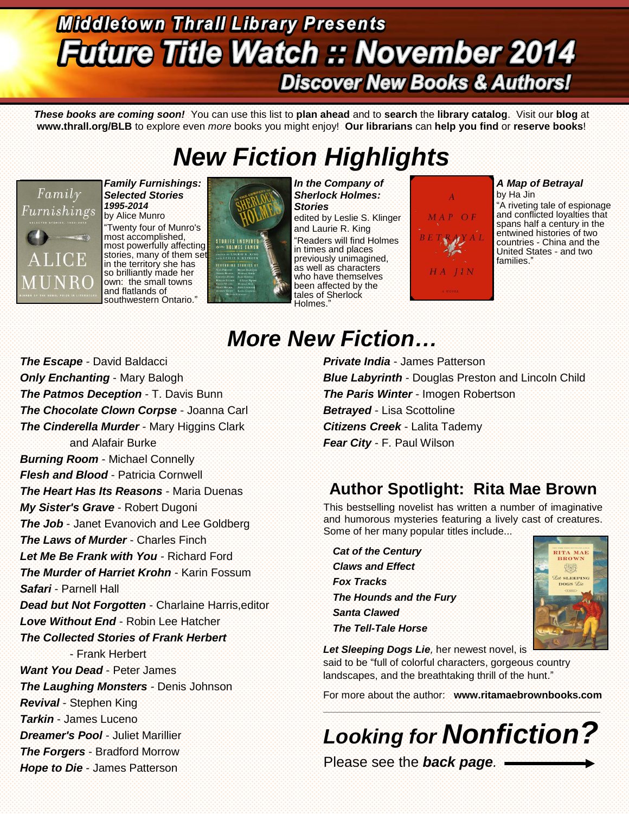## **Middletown Thrall Library Presents Future Title Watch :: November 2014 Discover New Books & Authors!**

*These books are coming soon!* You can use this list to **plan ahead** and to **search** the **library catalog**. Visit our **blog** at **www.thrall.org/BLB** to explore even *more* books you might enjoy! **Our librarians** can **help you find** or **reserve books**!

# *New Fiction Highlights*



*Family Furnishings: Selected Stories 1995-2014* by Alice Munro "Twenty four of Munro's most accomplished, most powerfully affecting stories, many of them set in the territory she has so brilliantly made her own: the small towns and flatlands of southwestern Ontario."



*In the Company of Sherlock Holmes: Stories* edited by Leslie S. Klinger and Laurie R. King "Readers will find Holmes in times and places previously unimagined, as well as characters who have themselves been affected by the tales of Sherlock Holmes."



### *A Map of Betrayal*

by Ha Jin "A riveting tale of espionage and conflicted loyalties that spans half a century in the entwined histories of two countries - China and the United States - and two families."

## *More New Fiction…*

*The Escape* - David Baldacci **Only Enchanting** - Mary Balogh *The Patmos Deception* - T. Davis Bunn *The Chocolate Clown Corpse* - Joanna Carl *The Cinderella Murder* - Mary Higgins Clark and Alafair Burke *Burning Room* - Michael Connelly *Flesh and Blood* - Patricia Cornwell *The Heart Has Its Reasons* - Maria Duenas *My Sister's Grave* - Robert Dugoni **The Job** - Janet Evanovich and Lee Goldberg *The Laws of Murder* - Charles Finch *Let Me Be Frank with You* - Richard Ford *The Murder of Harriet Krohn* - Karin Fossum *Safari* - Parnell Hall *Dead but Not Forgotten* - Charlaine Harris,editor *Love Without End* - Robin Lee Hatcher *The Collected Stories of Frank Herbert* - Frank Herbert *Want You Dead* - Peter James *The Laughing Monsters* - Denis Johnson *Revival* - Stephen King *Tarkin* - James Luceno *Dreamer's Pool* - Juliet Marillier *The Forgers* - Bradford Morrow *Hope to Die* - James Patterson

*Private India* - James Patterson *Blue Labyrinth* - Douglas Preston and Lincoln Child *The Paris Winter* - Imogen Robertson *Betrayed* - Lisa Scottoline *Citizens Creek* - Lalita Tademy *Fear City* - F. Paul Wilson

### **Author Spotlight: Rita Mae Brown**

This bestselling novelist has written a number of imaginative and humorous mysteries featuring a lively cast of creatures. Some of her many popular titles include...

*Cat of the Century Claws and Effect Fox Tracks The Hounds and the Fury Santa Clawed The Tell-Tale Horse*



Let Sleeping Dogs Lie, her newest novel, is said to be "full of colorful characters, gorgeous country landscapes, and the breathtaking thrill of the hunt."

For more about the author: **[www.ritamaebrownbooks.com](http://www.ritamaebrownbooks.com/)** \_\_\_\_\_\_\_\_\_\_\_\_\_\_\_\_\_\_\_\_\_\_\_\_\_\_\_\_\_\_\_\_\_\_\_\_\_\_\_\_\_\_\_\_\_\_\_\_\_\_\_\_\_\_\_\_\_\_\_\_\_\_\_\_\_\_\_\_\_\_\_\_\_\_\_\_\_\_\_\_\_\_\_\_\_\_\_\_\_\_\_\_\_\_\_\_\_

*Looking for Nonfiction?*

Please see the *back page.*